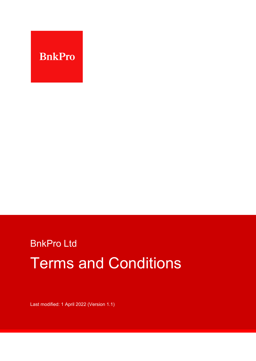

# BnkPro Ltd Terms and Conditions

Last modified: 1 April 2022 (Version 1.1)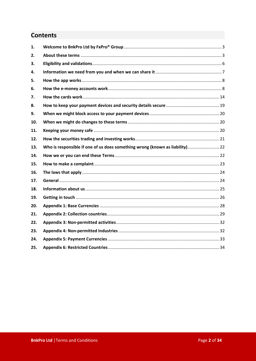## **Contents**

| 1.  |                                                                              |  |
|-----|------------------------------------------------------------------------------|--|
| 2.  |                                                                              |  |
| 3.  |                                                                              |  |
| 4.  |                                                                              |  |
| 5.  |                                                                              |  |
| 6.  |                                                                              |  |
| 7.  |                                                                              |  |
| 8.  |                                                                              |  |
| 9.  |                                                                              |  |
| 10. |                                                                              |  |
| 11. |                                                                              |  |
| 12. |                                                                              |  |
| 13. | Who is responsible if one of us does something wrong (known as liability) 22 |  |
| 14. |                                                                              |  |
| 15. |                                                                              |  |
| 16. |                                                                              |  |
| 17. |                                                                              |  |
| 18. |                                                                              |  |
| 19. |                                                                              |  |
| 20. |                                                                              |  |
| 21. |                                                                              |  |
| 22. |                                                                              |  |
| 23. |                                                                              |  |
| 24. |                                                                              |  |
| 25. |                                                                              |  |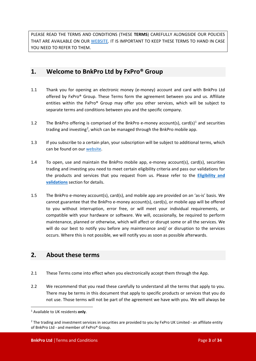PLEASE READ THE TERMS AND CONDITIONS (THESE **TERMS**) CAREFULLY ALONGSIDE OUR POLICIES THAT ARE AVAILABLE ON OUR [WE](https://bnkpro.com/)BSITE. IT IS IMPORTANT TO KEEP THESE TERMS TO HAND IN CASE YOU NEED TO REFER TO THEM.

## <span id="page-2-0"></span>**1. Welcome to BnkPro Ltd by FxPro® Group**

- 1.1 Thank you for opening an electronic money (e-money) account and card with BnkPro Ltd offered by FxPro® Group. These Terms form the agreement between you and us. Affiliate entities within the FxPro® Group may offer you other services, which will be subject to separate terms and conditions between you and the specific company.
- [1](#page-2-2).2 The BnkPro offering is comprised of the BnkPro e-money account(s), card(s)<sup>1</sup> and securities trading and investing<sup>[2](#page-2-3)</sup>, which can be managed through the BnkPro mobile app.
- 1.3 If you subscribe to a certain plan, your subscription will be subject to additional terms, which can be found on our [web](https://bnkpro.com/)site.
- 1.4 To open, use and maintain the BnkPro mobile app, e-money account(s), card(s), securities trading and investing you need to meet certain eligibility criteria and pass our validations for the products and services that you request from us. Please refer to the **[Eligibility and](#page-5-0)  [validations](#page-5-0)** section for details.
- 1.5 The BnkPro e-money account(s), card(s), and mobile app are provided on an 'as-is' basis. We cannot guarantee that the BnkPro e-money account(s), card(s), or mobile app will be offered to you without interruption, error free, or will meet your individual requirements, or compatible with your hardware or software. We will, occasionally, be required to perform maintenance, planned or otherwise, which will affect or disrupt some or all the services. We will do our best to notify you before any maintenance and/ or disruption to the services occurs. Where this is not possible, we will notify you as soon as possible afterwards.

## <span id="page-2-1"></span>**2. About these terms**

- 2.1 These Terms come into effect when you electronically accept them through the App.
- 2.2 We recommend that you read these carefully to understand all the terms that apply to you. There may be terms in this document that apply to specific products or services that you do not use. Those terms will not be part of the agreement we have with you. We will always be

<span id="page-2-2"></span><sup>1</sup> Available to UK residents **only**.

<span id="page-2-3"></span> $2$  The trading and investment services in securities are provided to you by FxPro UK Limited - an affiliate entity of BnkPro Ltd - and member of FxPro® Group.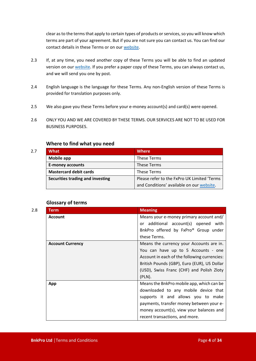clear as to the terms that apply to certain types of products or services, so you will know which terms are part of your agreement. But if you are not sure you can contact us. You can find our contact details in these Terms or on our [web](https://bnkpro.com/)site.

- 2.3 If, at any time, you need another copy of these Terms you will be able to find an updated version on our [w](https://bnkpro.com/)ebsite. If you prefer a paper copy of these Terms, you can always contact us, and we will send you one by post.
- 2.4 English language is the language for these Terms. Any non-English version of these Terms is provided for translation purposes only.
- 2.5 We also gave you these Terms before your e-money account(s) and card(s) were opened.
- 2.6 ONLY YOU AND WE ARE COVERED BY THESE TERMS. OUR SERVICES ARE NOT TO BE USED FOR BUSINESS PURPOSES.

#### **Where to find what you need**

| 2.7 | <b>What</b>                      | <b>Where</b>                                |
|-----|----------------------------------|---------------------------------------------|
|     | Mobile app                       | These Terms                                 |
|     | <b>E-money accounts</b>          | These Terms                                 |
|     | <b>Mastercard debit cards</b>    | These Terms                                 |
|     | Securities trading and investing | Please refer to the FxPro UK Limited 'Terms |
|     |                                  | and Conditions' available on our website.   |

#### **Glossary of terms**

| 2.8 | <b>Term</b>             | <b>Meaning</b>                                                                                                                                                                                                                                    |
|-----|-------------------------|---------------------------------------------------------------------------------------------------------------------------------------------------------------------------------------------------------------------------------------------------|
|     | <b>Account</b>          | Means your e-money primary account and/<br>or additional account(s) opened with<br>BnkPro offered by FxPro® Group under<br>these Terms.                                                                                                           |
|     | <b>Account Currency</b> | Means the currency your Accounts are in.<br>You can have up to 5 Accounts - one<br>Account in each of the following currencies:<br>British Pounds (GBP), Euro (EUR), US Dollar<br>(USD), Swiss Franc (CHF) and Polish Zloty<br>$(PLN)$ .          |
|     | App                     | Means the BnkPro mobile app, which can be<br>downloaded to any mobile device that<br>supports it and allows you to make<br>payments, transfer money between your e-<br>money account(s), view your balances and<br>recent transactions, and more. |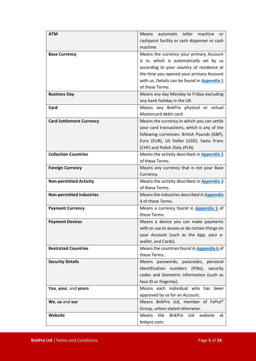| <b>ATM</b>                      | Means automatic teller machine<br>or                                 |
|---------------------------------|----------------------------------------------------------------------|
|                                 | cashpoint facility or cash dispenser or cash                         |
|                                 | machine                                                              |
| <b>Base Currency</b>            | Means the currency your primary Account                              |
|                                 | is in, which is automatically set by us                              |
|                                 | according to your country of residence at                            |
|                                 | the time you opened your primary Account                             |
|                                 | with us. Details can be found in Appendix 1                          |
|                                 | of these Terms.                                                      |
| <b>Business Day</b>             | Means any day Monday to Friday excluding                             |
|                                 | any bank holiday in the UK.                                          |
| Card                            | Means any BnkPro physical or virtual                                 |
|                                 | Mastercard debit card.                                               |
| <b>Card Settlement Currency</b> | Means the currency in which you can settle                           |
|                                 | your card transactions, which is any of the                          |
|                                 | following currencies: British Pounds (GBP),                          |
|                                 | Euro (EUR), US Dollar (USD), Swiss Franc                             |
| <b>Collection Countries</b>     | (CHF) and Polish Zloty (PLN).                                        |
|                                 | Means the activity described in <b>Appendix 2</b><br>of these Terms. |
|                                 |                                                                      |
| <b>Foreign Currency</b>         | Means any currency that is not your Base                             |
|                                 | Currency.                                                            |
| <b>Non-permitted Activity</b>   | Means the activity described in Appendix 3<br>of these Terms.        |
| <b>Non-permitted Industries</b> | Means the industries described in <b>Appendix</b>                    |
|                                 | 4 of these Terms.                                                    |
| <b>Payment Currency</b>         | Means a currency found in Appendix 5 of                              |
|                                 | these Terms.                                                         |
| <b>Payment Devices</b>          | Means a device you can make payments                                 |
|                                 | with or use to access or do certain things on                        |
|                                 | your Account (such as the App, your e-                               |
|                                 | wallet, and Cards).                                                  |
| <b>Restricted Countries</b>     | Means the countries found in Appendix 6 of                           |
|                                 | these Terms.                                                         |
| <b>Security Details</b>         | Means passwords, passcodes, personal                                 |
|                                 | identification numbers (PINs),<br>security                           |
|                                 | codes and biometric information (such as                             |
|                                 | face ID or fingertip).                                               |
| You, your, and yours            | Means each individual who has been                                   |
|                                 | approved by us for an Account.                                       |
| We, us and our                  | Means BnkPro Ltd, member of FxPro®                                   |
|                                 | Group, unless stated otherwise.                                      |
| Website                         | Means<br>the<br><b>BnkPro</b><br>Ltd<br>website<br>at                |
|                                 | bnkpro.com.                                                          |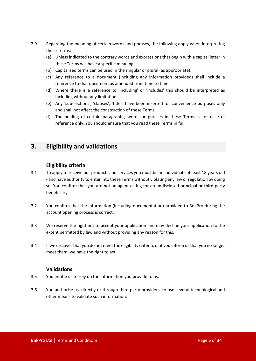- 2.9 Regarding the meaning of certain words and phrases, the following apply when interpreting these Terms:
	- (a) Unless indicated to the contrary words and expressions that begin with a capital letter in these Terms will have a specific meaning.
	- (b) Capitalised terms can be used in the singular or plural (as appropriate).
	- (c) Any reference to a document (including any information provided) shall include a reference to that document as amended from time to time.
	- (d) Where there is a reference to 'including' or 'includes' this should be interpreted as including without any limitation.
	- (e) Any 'sub-sections', 'clauses', 'titles' have been inserted for convenience purposes only and shall not affect the construction of these Terms.
	- (f) The bolding of certain paragraphs, words or phrases in these Terms is for ease of reference only. You should ensure that you read these Terms in full.

## <span id="page-5-0"></span>**3. Eligibility and validations**

#### **Eligibility criteria**

- 3.1 To apply to receive our products and services you must be an individual at least 18 years old - and have authority to enter into these Terms without violating any law or regulation by doing so. You confirm that you are not an agent acting for an undisclosed principal or third-party beneficiary.
- 3.2 You confirm that the information (including documentation) provided to BnkPro during the account opening process is correct.
- 3.3 We reserve the right not to accept your application and may decline your application to the extent permitted by law and without providing any reason for this.
- 3.4 If we discover that you do not meet the eligibility criteria, or if you inform us that you no longer meet them, we have the right to act.

#### **Validations**

- 3.5 You entitle us to rely on the information you provide to us.
- 3.6 You authorise us, directly or through third party providers, to use several technological and other means to validate such information.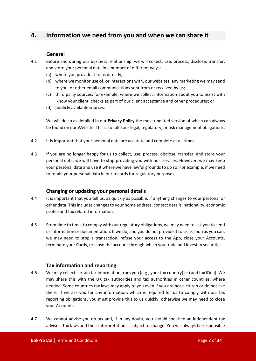## <span id="page-6-0"></span>**4. Information we need from you and when we can share it**

#### **General**

- 4.1 Before and during our business relationship, we will collect, use, process, disclose, transfer, and store your personal data in a number of different ways:
	- (a) where you provide it to us directly;
	- (b) where we monitor use of, or interactions with, our websites, any marketing we may send to you, or other email communications sent from or received by us;
	- (c) third party sources, for example, where we collect information about you to assist with 'know your client' checks as part of our client acceptance and other procedures; or
	- (d) publicly available sources.

We will do so as detailed in our **Privacy Policy** the most updated version of which can always be found on our Website. This is to fulfil our legal, regulatory, or risk management obligations.

- 4.2 It is important that your personal data are accurate and complete at all times.
- 4.3 If you are no longer happy for us to collect, use, process, disclose, transfer, and store your personal data, we will have to stop providing you with our services. However, we may keep your personal data and use it where we have lawful grounds to do so. For example, if we need to retain your personal data in our records for regulatory purposes.

#### **Changing or updating your personal details**

- 4.4 It is important that you tell us, as quickly as possible, if anything changes to your personal or other data. This includes changes to your home address, contact details, nationality, economic profile and tax related information.
- 4.5 From time to time, to comply with our regulatory obligations, we may need to ask you to send us information or documentation. If we do, and you do not provide it to us as soon as you can, we may need to stop a transaction, refuse your access to the App, close your Accounts, terminate your Cards, or close the account through which you trade and invest in securities.

#### **Tax information and reporting**

- 4.6 We may collect certain tax information from you (e.g., your tax country(ies) and tax ID(s)). We may share this with the UK tax authorities and tax authorities in other countries, where needed. Some countries tax laws may apply to you even if you are not a citizen or do not live there. If we ask you for any information, which is required for us to comply with our tax reporting obligations, you must provide this to us quickly, otherwise we may need to close your Accounts.
- 4.7 We cannot advise you on tax and, if in any doubt, you should speak to an independent tax advisor. Tax laws and their interpretation is subject to change. You will always be responsible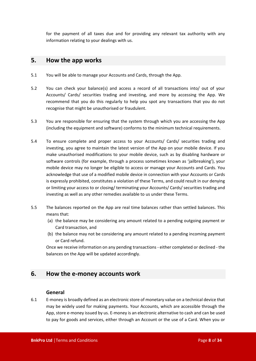for the payment of all taxes due and for providing any relevant tax authority with any information relating to your dealings with us.

## <span id="page-7-0"></span>**5. How the app works**

- 5.1 You will be able to manage your Accounts and Cards, through the App.
- 5.2 You can check your balance(s) and access a record of all transactions into/ out of your Accounts/ Cards/ securities trading and investing, and more by accessing the App. We recommend that you do this regularly to help you spot any transactions that you do not recognise that might be unauthorised or fraudulent.
- 5.3 You are responsible for ensuring that the system through which you are accessing the App (including the equipment and software) conforms to the minimum technical requirements.
- 5.4 To ensure complete and proper access to your Accounts/ Cards/ securities trading and investing, you agree to maintain the latest version of the App on your mobile device. If you make unauthorised modifications to your mobile device, such as by disabling hardware or software controls (for example, through a process sometimes known as 'jailbreaking'), your mobile device may no longer be eligible to access or manage your Accounts and Cards. You acknowledge that use of a modified mobile device in connection with your Accounts or Cards is expressly prohibited, constitutes a violation of these Terms, and could result in our denying or limiting your access to or closing/ terminating your Accounts/ Cards/ securities trading and investing as well as any other remedies available to us under these Terms.
- 5.5 The balances reported on the App are real time balances rather than settled balances. This means that:
	- (a) the balance may be considering any amount related to a pending outgoing payment or Card transaction, and
	- (b) the balance may not be considering any amount related to a pending incoming payment or Card refund.

Once we receive information on any pending transactions - either completed or declined - the balances on the App will be updated accordingly.

## <span id="page-7-1"></span>**6. How the e-money accounts work**

#### **General**

6.1 E-money is broadly defined as an electronic store of monetary value on a technical device that may be widely used for making payments. Your Accounts, which are accessible through the App, store e-money issued by us. E-money is an electronic alternative to cash and can be used to pay for goods and services, either through an Account or the use of a Card. When you or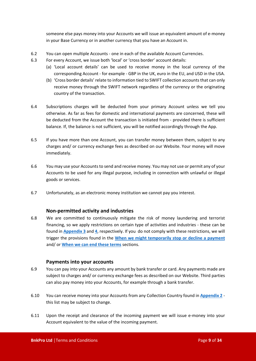someone else pays money into your Accounts we will issue an equivalent amount of e-money in your Base Currency or in another currency that you have an Account in.

- 6.2 You can open multiple Accounts one in each of the available Account Currencies.
- 6.3 For every Account, we issue both 'local' or 'cross border' account details:
	- (a) 'Local account details' can be used to receive money in the local currency of the corresponding Account - for example - GBP in the UK, euro in the EU, and USD in the USA.
	- (b) 'Cross border details' relate to information tied to SWIFT collection accounts that can only receive money through the SWIFT network regardless of the currency or the originating country of the transaction.
- 6.4 Subscriptions charges will be deducted from your primary Account unless we tell you otherwise. As far as fees for domestic and international payments are concerned, these will be deducted from the Account the transaction is initiated from - provided there is sufficient balance. If, the balance is not sufficient, you will be notified accordingly through the App.
- 6.5 If you have more than one Account, you can transfer money between them, subject to any charges and/ or currency exchange fees as described on our Website. Your money will move immediately.
- 6.6 You may use your Accounts to send and receive money. You may not use or permit any of your Accounts to be used for any illegal purpose, including in connection with unlawful or illegal goods or services.
- 6.7 Unfortunately, as an electronic money institution we cannot pay you interest.

#### **Non-permitted activity and industries**

6.8 We are committed to continuously mitigate the risk of money laundering and terrorist financing, so we apply restrictions on certain type of activities and industries - these can be found in **[Appendix 3](#page-31-0)** and **[4](#page-31-1)**, respectively. If you do not comply with these restrictions, we will trigger the provisions found in the **[When we might temporarily stop or decline a payment](#page-12-0)** and/ or **[When we can end these terms](#page-21-2)** sections.

#### **Payments into your accounts**

- 6.9 You can pay into your Accounts any amount by bank transfer or card. Any payments made are subject to charges and/ or currency exchange fees as described on our Website. Third parties can also pay money into your Accounts, for example through a bank transfer.
- 6.10 You can receive money into your Accounts from any Collection Country found in **[Appendix 2](#page-28-0)** this list may be subject to change.
- 6.11 Upon the receipt and clearance of the incoming payment we will issue e-money into your Account equivalent to the value of the incoming payment.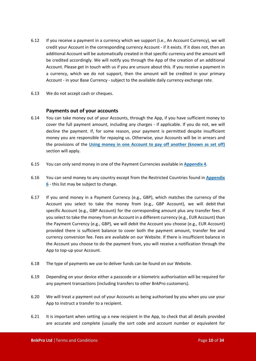- 6.12 If you receive a payment in a currency which we support (i.e., An Account Currency), we will credit your Account in the corresponding currency Account - if it exists. If it does not, then an additional Account will be automatically created in that specific currency and the amount will be credited accordingly. We will notify you through the App of the creation of an additional Account. Please get in touch with us if you are unsure about this. If you receive a payment in a currency, which we do not support, then the amount will be credited in your primary Account - in your Base Currency - subject to the available daily currency exchange rate.
- 6.13 We do not accept cash or cheques.

#### **Payments out of your accounts**

- 6.14 You can take money out of your Accounts, through the App, if you have sufficient money to cover the full payment amount, including any charges - if applicable. If you do not, we will decline the payment. If, for some reason, your payment is permitted despite insufficient money you are responsible for repaying us. Otherwise, your Accounts will be in arrears and the provisions of the **[Using money in one Account to pay off another \(known as](#page-10-0) set off)** section will apply.
- 6.15 You can only send money in one of the Payment Currencies available in **[Appendix 4](#page-32-0)**.
- 6.16 You can send money to any country except from the Restricted Countries found in **[Appendix](#page-33-0)  [6](#page-33-0)** - this list may be subject to change.
- 6.17 If you send money in a Payment Currency (e.g., GBP), which matches the currency of the Account you select to take the money from (e.g., GBP Account), we will debit that specific Account (e.g., GBP Account) for the corresponding amount plus any transfer fees. If you select to take the money from an Account in a different currency (e.g., EUR Account) than the Payment Currency (e.g., GBP), we will debit the Account you choose (e.g., EUR Account) provided there is sufficient balance to cover both the payment amount, transfer fee and currency conversion fee. Fees are available on our Website. If there is insufficient balance in the Account you choose to do the payment from, you will receive a notification through the App to top-up your Account.
- 6.18 The type of payments we use to deliver funds can be found on our Website.
- 6.19 Depending on your device either a passcode or a biometric authorisation will be required for any payment transactions (including transfers to other BnkPro customers).
- 6.20 We will treat a payment out of your Accounts as being authorised by you when you use your App to instruct a transfer to a recipient.
- 6.21 It is important when setting up a new recipient in the App, to check that all details provided are accurate and complete (usually the sort code and account number or equivalent for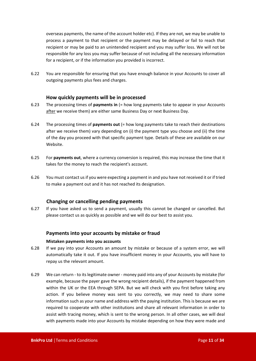overseas payments, the name of the account holder etc). If they are not, we may be unable to process a payment to that recipient or the payment may be delayed or fail to reach that recipient or may be paid to an unintended recipient and you may suffer loss. We will not be responsible for any loss you may suffer because of not including all the necessary information for a recipient, or if the information you provided is incorrect.

6.22 You are responsible for ensuring that you have enough balance in your Accounts to cover all outgoing payments plus fees and charges.

#### **How quickly payments will be in processed**

- 6.23 The processing times of **payments in** (= how long payments take to appear in your Accounts after we receive them) are either same Business Day or next Business Day.
- 6.24 The processing times of **payments out** (= how long payments take to reach their destinations after we receive them) vary depending on (i) the payment type you choose and (ii) the time of the day you proceed with that specific payment type. Details of these are available on our Website.
- 6.25 For **payments out**, where a currency conversion is required, this may increase the time that it takes for the money to reach the recipient's account.
- 6.26 You must contact us if you were expecting a payment in and you have not received it or if tried to make a payment out and it has not reached its designation.

#### **Changing or cancelling pending payments**

<span id="page-10-0"></span>6.27 If you have asked us to send a payment, usually this cannot be changed or cancelled. But please contact us as quickly as possible and we will do our best to assist you.

#### **Payments into your accounts by mistake or fraud**

#### **Mistaken payments into you accounts**

- 6.28 If we pay into your Accounts an amount by mistake or because of a system error, we will automatically take it out. If you have insufficient money in your Accounts, you will have to repay us the relevant amount.
- 6.29 We can return to its legitimate owner money paid into any of your Accounts by mistake (for example, because the payer gave the wrong recipient details), if the payment happened from within the UK or the EEA through SEPA. But we will check with you first before taking any action. If you believe money was sent to you correctly, we may need to share some information such as your name and address with the paying institution. This is because we are required to cooperate with other institutions and share all relevant information in order to assist with tracing money, which is sent to the wrong person. In all other cases, we will deal with payments made into your Accounts by mistake depending on how they were made and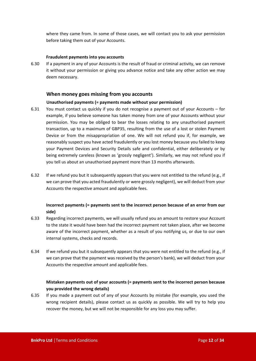where they came from. In some of those cases, we will contact you to ask your permission before taking them out of your Accounts.

#### **Fraudulent payments into you accounts**

6.30 If a payment in any of your Accounts is the result of fraud or criminal activity, we can remove it without your permission or giving you advance notice and take any other action we may deem necessary.

#### **When money goes missing from you accounts**

#### **Unauthorised payments (= payments made without your permission)**

- 6.31 You must contact us quickly if you do not recognise a payment out of your Accounts for example, if you believe someone has taken money from one of your Accounts without your permission. You may be obliged to bear the losses relating to any unauthorised payment transaction, up to a maximum of GBP35, resulting from the use of a lost or stolen Payment Device or from the misappropriation of one. We will not refund you if, for example, we reasonably suspect you have acted fraudulently or you lost money because you failed to keep your Payment Devices and Security Details safe and confidential, either deliberately or by being extremely careless (known as 'grossly negligent'). Similarly, we may not refund you if you tell us about an unauthorised payment more than 13 months afterwards.
- 6.32 If we refund you but it subsequently appears that you were not entitled to the refund (e.g., if we can prove that you acted fraudulently or were grossly negligent), we will deduct from your Accounts the respective amount and applicable fees.

#### **Incorrect payments (= payments sent to the incorrect person because of an error from our side)**

- 6.33 Regarding incorrect payments, we will usually refund you an amount to restore your Account to the state it would have been had the incorrect payment not taken place, after we become aware of the incorrect payment, whether as a result of you notifying us, or due to our own internal systems, checks and records.
- 6.34 If we refund you but it subsequently appears that you were not entitled to the refund (e.g., if we can prove that the payment was received by the person's bank), we will deduct from your Accounts the respective amount and applicable fees.

#### **Mistaken payments out of your accounts (= payments sent to the incorrect person because you provided the wrong details)**

6.35 If you made a payment out of any of your Accounts by mistake (for example, you used the wrong recipient details), please contact us as quickly as possible. We will try to help you recover the money, but we will not be responsible for any loss you may suffer.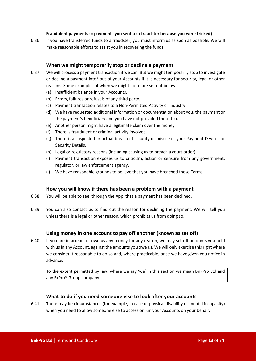#### **Fraudulent payments (= payments you sent to a fraudster because you were tricked)**

6.36 If you have transferred funds to a fraudster, you must inform us as soon as possible. We will make reasonable efforts to assist you in recovering the funds.

#### **When we might temporarily stop or decline a payment**

- <span id="page-12-0"></span>6.37 We will process a payment transaction if we can. But we might temporarily stop to investigate or decline a payment into/ out of your Accounts if it is necessary for security, legal or other reasons. Some examples of when we might do so are set out below:
	- (a) Insufficient balance in your Accounts.
	- (b) Errors, failures or refusals of any third party.
	- (c) Payment transaction relates to a Non-Permitted Activity or Industry.
	- (d) We have requested additional information or documentation about you, the payment or the payment's beneficiary and you have not provided these to us.
	- (e) Another person might have a legitimate claim over the money.
	- (f) There is fraudulent or criminal activity involved.
	- (g) There is a suspected or actual breach of security or misuse of your Payment Devices or Security Details.
	- (h) Legal or regulatory reasons (including causing us to breach a court order).
	- (i) Payment transaction exposes us to criticism, action or censure from any government, regulator, or law enforcement agency.
	- (j) We have reasonable grounds to believe that you have breached these Terms.

#### **How you will know if there has been a problem with a payment**

- 6.38 You will be able to see, through the App, that a payment has been declined.
- 6.39 You can also contact us to find out the reason for declining the payment. We will tell you unless there is a legal or other reason, which prohibits us from doing so.

#### **Using money in one account to pay off another (known as set off)**

6.40 If you are in arrears or owe us any money for any reason, we may set off amounts you hold with us in any Account, against the amounts you owe us. We will only exercise this right where we consider it reasonable to do so and, where practicable, once we have given you notice in advance.

To the extent permitted by law, where we say 'we' in this section we mean BnkPro Ltd and any FxPro® Group company.

#### **What to do if you need someone else to look after your accounts**

6.41 There may be circumstances (for example, in case of physical disability or mental incapacity) when you need to allow someone else to access or run your Accounts on your behalf.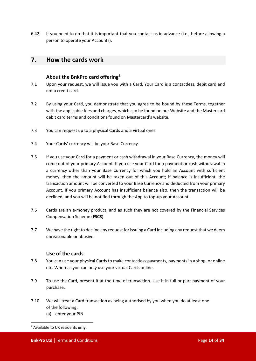6.42 If you need to do that it is important that you contact us in advance (i.e., before allowing a person to operate your Accounts).

## <span id="page-13-0"></span>**7. How the cards work**

#### **About the BnkPro card offering[3](#page-13-1)**

- 7.1 Upon your request, we will issue you with a Card. Your Card is a contactless, debit card and not a credit card.
- 7.2 By using your Card, you demonstrate that you agree to be bound by these Terms, together with the applicable fees and charges, which can be found on our Website and the Mastercard debit card terms and conditions found on Mastercard's website.
- 7.3 You can request up to 5 physical Cards and 5 virtual ones.
- 7.4 Your Cards' currency will be your Base Currency.
- 7.5 If you use your Card for a payment or cash withdrawal in your Base Currency, the money will come out of your primary Account. If you use your Card for a payment or cash withdrawal in a currency other than your Base Currency for which you hold an Account with sufficient money, then the amount will be taken out of this Account; if balance is insufficient, the transaction amount will be converted to your Base Currency and deducted from your primary Account. If you primary Account has insufficient balance also, then the transaction will be declined, and you will be notified through the App to top-up your Account.
- 7.6 Cards are an e-money product, and as such they are not covered by the Financial Services Compensation Scheme (**FSCS**).
- 7.7 We have the right to decline any request for issuing a Card including any request that we deem unreasonable or abusive.

#### **Use of the cards**

- 7.8 You can use your physical Cards to make contactless payments, payments in a shop, or online etc. Whereas you can only use your virtual Cards online.
- 7.9 To use the Card, present it at the time of transaction. Use it in full or part payment of your purchase.
- 7.10 We will treat a Card transaction as being authorised by you when you do at least one of the following: (a) enter your PIN

<span id="page-13-1"></span><sup>3</sup> Available to UK residents **only**.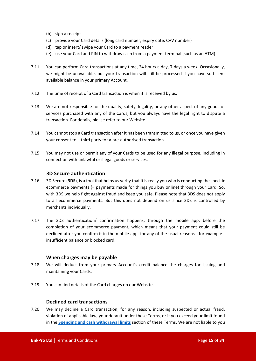- (b) sign a receipt
- (c) provide your Card details (long card number, expiry date, CVV number)
- (d) tap or insert/ swipe your Card to a payment reader
- (e) use your Card and PIN to withdraw cash from a payment terminal (such as an ATM).
- 7.11 You can perform Card transactions at any time, 24 hours a day, 7 days a week. Occasionally, we might be unavailable, but your transaction will still be processed if you have sufficient available balance in your primary Account.
- 7.12 The time of receipt of a Card transaction is when it is received by us.
- 7.13 We are not responsible for the quality, safety, legality, or any other aspect of any goods or services purchased with any of the Cards, but you always have the legal right to dispute a transaction. For details, please refer to our Website.
- 7.14 You cannot stop a Card transaction after it has been transmitted to us, or once you have given your consent to a third party for a pre-authorised transaction.
- 7.15 You may not use or permit any of your Cards to be used for any illegal purpose, including in connection with unlawful or illegal goods or services.

#### **3D Secure authentication**

- 7.16 3D Secure (**3DS**), is a tool that helps us verify that it is really you who is conducting the specific ecommerce payments (= payments made for things you buy online) through your Card. So, with 3DS we help fight against fraud and keep you safe. Please note that 3DS does not apply to all ecommerce payments. But this does not depend on us since 3DS is controlled by merchants individually.
- 7.17 The 3DS authentication/ confirmation happens, through the mobile app, before the completion of your ecommerce payment, which means that your payment could still be declined after you confirm it in the mobile app, for any of the usual reasons - for example insufficient balance or blocked card.

#### **When charges may be payable**

- 7.18 We will deduct from your primary Account's credit balance the charges for issuing and maintaining your Cards.
- 7.19 You can find details of the Card charges on our Website.

#### **Declined card transactions**

7.20 We may decline a Card transaction, for any reason, including suspected or actual fraud, violation of applicable law, your default under these Terms, or if you exceed your limit found in the **[Spending and cash withdrawal limits](#page-15-0)** section of these Terms. We are not liable to you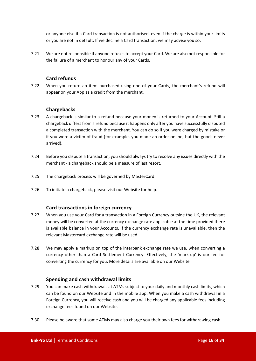or anyone else if a Card transaction is not authorised, even if the charge is within your limits or you are not in default. If we decline a Card transaction, we may advise you so.

7.21 We are not responsible if anyone refuses to accept your Card. We are also not responsible for the failure of a merchant to honour any of your Cards.

#### **Card refunds**

7.22 When you return an item purchased using one of your Cards, the merchant's refund will appear on your App as a credit from the merchant.

#### **Chargebacks**

- 7.23 A chargeback is similar to a refund because your money is returned to your Account. Still a chargeback differs from a refund because it happens only after you have successfully disputed a completed transaction with the merchant. You can do so if you were charged by mistake or if you were a victim of fraud (for example, you made an order online, but the goods never arrived).
- 7.24 Before you dispute a transaction, you should always try to resolve any issues directly with the merchant - a chargeback should be a measure of last resort.
- 7.25 The chargeback process will be governed by MasterCard.
- 7.26 To initiate a chargeback, please visit our Website for help.

#### **Card transactions in foreign currency**

- 7.27 When you use your Card for a transaction in a Foreign Currency outside the UK, the relevant money will be converted at the currency exchange rate applicable at the time provided there is available balance in your Accounts. If the currency exchange rate is unavailable, then the relevant Mastercard exchange rate will be used.
- 7.28 We may apply a markup on top of the interbank exchange rate we use, when converting a currency other than a Card Settlement Currency. Effectively, the 'mark-up' is our fee for converting the currency for you. More details are available on our Website.

#### **Spending and cash withdrawal limits**

- <span id="page-15-0"></span>7.29 You can make cash withdrawals at ATMs subject to your daily and monthly cash limits, which can be found on our Website and in the mobile app. When you make a cash withdrawal in a Foreign Currency, you will receive cash and you will be charged any applicable fees including exchange fees found on our Website.
- 7.30 Please be aware that some ATMs may also charge you their own fees for withdrawing cash.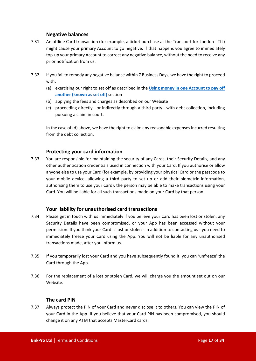#### **Negative balances**

- 7.31 An offline Card transaction (for example, a ticket purchase at the Transport for London TfL) might cause your primary Account to go negative. If that happens you agree to immediately top-up your primary Account to correct any negative balance, without the need to receive any prior notification from us.
- 7.32 If you fail to remedy any negative balance within 7 Business Days, we have the right to proceed with:
	- (a) exercising our right to set off as described in the **[Using money in one Account to pay off](#page-10-0)  [another \(known as set off\)](#page-10-0)** section
	- (b) applying the fees and charges as described on our Website
	- (c) proceeding directly or indirectly through a third party with debt collection, including pursuing a claim in court.

In the case of (d) above, we have the right to claim any reasonable expenses incurred resulting from the debt collection.

#### **Protecting your card information**

7.33 You are responsible for maintaining the security of any Cards, their Security Details, and any other authentication credentials used in connection with your Card. If you authorise or allow anyone else to use your Card (for example, by providing your physical Card or the passcode to your mobile device, allowing a third party to set up or add their biometric information, authorising them to use your Card), the person may be able to make transactions using your Card. You will be liable for all such transactions made on your Card by that person.

#### **Your liability for unauthorised card transactions**

- 7.34 Please get in touch with us immediately if you believe your Card has been lost or stolen, any Security Details have been compromised, or your App has been accessed without your permission. If you think your Card is lost or stolen - in addition to contacting us - you need to immediately freeze your Card using the App. You will not be liable for any unauthorised transactions made, after you inform us.
- 7.35 If you temporarily lost your Card and you have subsequently found it, you can 'unfreeze' the Card through the App.
- 7.36 For the replacement of a lost or stolen Card, we will charge you the amount set out on our Website.

#### **The card PIN**

7.37 Always protect the PIN of your Card and never disclose it to others. You can view the PIN of your Card in the App. If you believe that your Card PIN has been compromised, you should change it on any ATM that accepts MasterCard cards.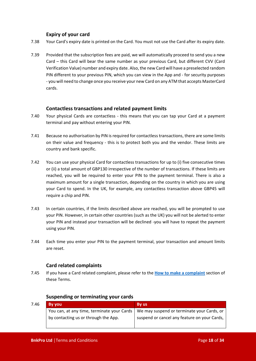#### **Expiry of your card**

- 7.38 Your Card's expiry date is printed on the Card. You must not use the Card after its expiry date.
- 7.39 Provided that the subscription fees are paid, we will automatically proceed to send you a new Card – this Card will bear the same number as your previous Card, but different CVV (Card Verification Value) number and expiry date. Also, the new Card will have a preselected random PIN different to your previous PIN, which you can view in the App and - for security purposes - you will need to change once you receive your new Card on any ATM that accepts MasterCard cards.

#### **Contactless transactions and related payment limits**

- 7.40 Your physical Cards are contactless this means that you can tap your Card at a payment terminal and pay without entering your PIN.
- 7.41 Because no authorisation by PIN is required for contactless transactions, there are some limits on their value and frequency - this is to protect both you and the vendor. These limits are country and bank specific.
- 7.42 You can use your physical Card for contactless transactions for up to (i) five consecutive times or (ii) a total amount of GBP130 irrespective of the number of transactions. If these limits are reached, you will be required to enter your PIN to the payment terminal. There is also a maximum amount for a single transaction, depending on the country in which you are using your Card to spend. In the UK, for example, any contactless transaction above GBP45 will require a chip and PIN.
- 7.43 In certain countries, if the limits described above are reached, you will be prompted to use your PIN. However, in certain other countries (such as the UK) you will not be alerted to enter your PIN and instead your transaction will be declined -you will have to repeat the payment using your PIN.
- 7.44 Each time you enter your PIN to the payment terminal, your transaction and amount limits are reset.

#### **Card related complaints**

7.45 If you have a Card related complaint, please refer to the **[How to make a complaint](#page-22-0)** section of these Terms.

| 7.46 | <b>By you</b>                              | By us                                        |
|------|--------------------------------------------|----------------------------------------------|
|      | You can, at any time, terminate your Cards | We may suspend or terminate your Cards, or   |
|      | by contacting us or through the App.       | suspend or cancel any feature on your Cards, |
|      |                                            |                                              |

#### **Suspending or terminating your cards**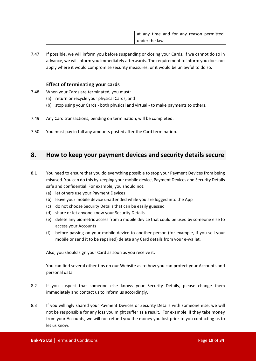| at any time and for any reason permitted |
|------------------------------------------|
| under the law.                           |

7.47 If possible, we will inform you before suspending or closing your Cards. If we cannot do so in advance, we will inform you immediately afterwards. The requirement to inform you does not apply where it would compromise security measures, or it would be unlawful to do so.

#### **Effect of terminating your cards**

- 7.48 When your Cards are terminated, you must:
	- (a) return or recycle your physical Cards, and
	- (b) stop using your Cards both physical and virtual to make payments to others.
- 7.49 Any Card transactions, pending on termination, will be completed.
- 7.50 You must pay in full any amounts posted after the Card termination.

## <span id="page-18-0"></span>**8. How to keep your payment devices and security details secure**

- 8.1 You need to ensure that you do everything possible to stop your Payment Devices from being misused. You can do this by keeping your mobile device, Payment Devices and Security Details safe and confidential. For example, you should not:
	- (a) let others use your Payment Devices
	- (b) leave your mobile device unattended while you are logged into the App
	- (c) do not choose Security Details that can be easily guessed
	- (d) share or let anyone know your Security Details
	- (e) delete any biometric access from a mobile device that could be used by someone else to access your Accounts
	- (f) before passing on your mobile device to another person (for example, if you sell your mobile or send it to be repaired) delete any Card details from your e-wallet.

Also, you should sign your Card as soon as you receive it.

You can find several other tips on our Website as to how you can protect your Accounts and personal data.

- 8.2 If you suspect that someone else knows your Security Details, please change them immediately and contact us to inform us accordingly.
- 8.3 If you willingly shared your Payment Devices or Security Details with someone else, we will not be responsible for any loss you might suffer as a result. For example, if they take money from your Accounts, we will not refund you the money you lost prior to you contacting us to let us know.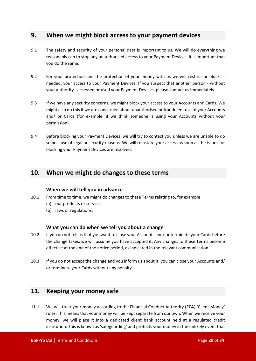## <span id="page-19-0"></span>**9. When we might block access to your payment devices**

- 9.1 The safety and security of your personal data is important to us. We will do everything we reasonably can to stop any unauthorised access to your Payment Devices. It is important that you do the same.
- 9.2 For your protection and the protection of your money with us we will restrict or block, if needed, your access to your Payment Devices. If you suspect that another person - without your authority - accessed or used your Payment Devices, please contact us immediately.
- 9.3 If we have any security concerns, we might block your access to your Accounts and Cards. We might also do this if we are concerned about unauthorised or fraudulent use of your Accounts and/ or Cards (for example, if we think someone is using your Accounts without your permission).
- 9.4 Before blocking your Payment Devices, we will try to contact you unless we are unable to do so because of legal or security reasons. We will reinstate your access as soon as the issues for blocking your Payment Devices are resolved.

## <span id="page-19-1"></span>**10. When we might do changes to these terms**

#### **When we will tell you in advance**

- 10.1 From time to time, we might do changes to these Terms relating to, for example
	- (a) our products or services
	- (b) laws or regulations.

#### **What you can do when we tell you about a change**

- 10.2 If you do not tell us that you want to close your Accounts and/ or terminate your Cards before the change takes, we will assume you have accepted it. Any changes to these Terms become effective at the end of the notice period, as indicated in the relevant communication.
- 10.3 If you do not accept the change and you inform us about it, you can close your Accounts and/ or terminate your Cards without any penalty.

## <span id="page-19-2"></span>**11. Keeping your money safe**

11.1 We will treat your money according to the Financial Conduct Authority (**FCA**) 'Client Money' rules. This means that your money will be kept separate from our own. When we receive your money, we will place it into a dedicated client bank account held at a regulated credit institution. This is known as 'safeguarding' and protects your money in the unlikely event that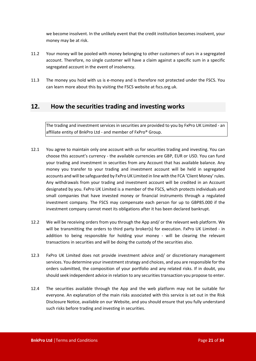we become insolvent. In the unlikely event that the credit institution becomes insolvent, your money may be at risk.

- 11.2 Your money will be pooled with money belonging to other customers of ours in a segregated account. Therefore, no single customer will have a claim against a specific sum in a specific segregated account in the event of insolvency.
- 11.3 The money you hold with us is e-money and is therefore not protected under the FSCS. You can learn more about this by visiting the FSCS website at fscs.org.uk.

## <span id="page-20-0"></span>**12. How the securities trading and investing works**

The trading and investment services in securities are provided to you by FxPro UK Limited - an affiliate entity of BnkPro Ltd - and member of FxPro® Group.

- 12.1 You agree to maintain only one account with us for securities trading and investing. You can choose this account's currency - the available currencies are GBP, EUR or USD. You can fund your trading and investment in securities from any Account that has available balance. Any money you transfer to your trading and investment account will be held in segregated accounts and will be safeguarded by FxPro UK Limited in line with the FCA 'Client Money' rules. Any withdrawals from your trading and investment account will be credited in an Account designated by you. FxPro UK Limited is a member of the FSCS, which protects individuals and small companies that have invested money or financial instruments through a regulated investment company. The FSCS may compensate each person for up to GBP85.000 if the investment company cannot meet its obligations after it has been declared bankrupt.
- 12.2 We will be receiving orders from you through the App and/ or the relevant web platform. We will be transmitting the orders to third party broker(s) for execution. FxPro UK Limited - in addition to being responsible for holding your money - will be clearing the relevant transactions in securities and will be doing the custody of the securities also.
- 12.3 FxPro UK Limited does not provide investment advice and/ or discretionary management services. You determine your investment strategy and choices, and you are responsible for the orders submitted, the composition of your portfolio and any related risks. If in doubt, you should seek independent advice in relation to any securities transaction you propose to enter.
- 12.4 The securities available through the App and the web platform may not be suitable for everyone. An explanation of the main risks associated with this service is set out in the Risk Disclosure Notice, available on our Website, and you should ensure that you fully understand such risks before trading and investing in securities.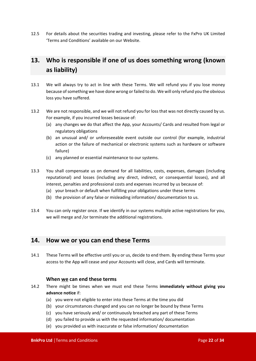12.5 For details about the securities trading and investing, please refer to the FxPro UK Limited 'Terms and Conditions' available on our Website.

## <span id="page-21-0"></span>**13. Who is responsible if one of us does something wrong (known as liability)**

- 13.1 We will always try to act in line with these Terms. We will refund you if you lose money because of something we have done wrong or failed to do. We will only refund you the obvious loss you have suffered.
- 13.2 We are not responsible, and we will not refund you for loss that was not directly caused by us. For example, if you incurred losses because of:
	- (a) any changes we do that affect the App, your Accounts/ Cards and resulted from legal or regulatory obligations
	- (b) an unusual and/ or unforeseeable event outside our control (for example, industrial action or the failure of mechanical or electronic systems such as hardware or software failure)
	- (c) any planned or essential maintenance to our systems.
- 13.3 You shall compensate us on demand for all liabilities, costs, expenses, damages (including reputational) and losses (including any direct, indirect, or consequential losses), and all interest, penalties and professional costs and expenses incurred by us because of:
	- (a) your breach or default when fulfilling your obligations under these terms
	- (b) the provision of any false or misleading information/ documentation to us.
- 13.4 You can only register once. If we identify in our systems multiple active registrations for you, we will merge and /or terminate the additional registrations.

## <span id="page-21-1"></span>**14. How we or you can end these Terms**

14.1 These Terms will be effective until you or us, decide to end them. By ending these Terms your access to the App will cease and your Accounts will close, and Cards will terminate.

#### **When we can end these terms**

- <span id="page-21-2"></span>14.2 There might be times when we must end these Terms **immediately without giving you advance notice** if:
	- (a) you were not eligible to enter into these Terms at the time you did
	- (b) your circumstances changed and you can no longer be bound by these Terms
	- (c) you have seriously and/ or continuously breached any part of these Terms
	- (d) you failed to provide us with the requested information/ documentation
	- (e) you provided us with inaccurate or false information/ documentation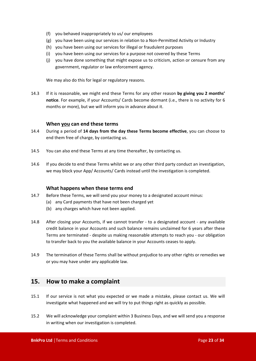- (f) you behaved inappropriately to us/ our employees
- (g) you have been using our services in relation to a Non-Permitted Activity or Industry
- (h) you have been using our services for illegal or fraudulent purposes
- (i) you have been using our services for a purpose not covered by these Terms
- (j) you have done something that might expose us to criticism, action or censure from any government, regulator or law enforcement agency.

We may also do this for legal or regulatory reasons.

14.3 If it is reasonable, we might end these Terms for any other reason **by giving you 2 months' notice**. For example, if your Accounts/ Cards become dormant (i.e., there is no activity for 6 months or more), but we will inform you in advance about it.

#### **When you can end these terms**

- 14.4 During a period of **14 days from the day these Terms become effective**, you can choose to end them free of charge, by contacting us.
- 14.5 You can also end these Terms at any time thereafter, by contacting us.
- 14.6 If you decide to end these Terms whilst we or any other third party conduct an investigation, we may block your App/ Accounts/ Cards instead until the investigation is completed.

#### **What happens when these terms end**

- 14.7 Before these Terms, we will send you your money to a designated account minus:
	- (a) any Card payments that have not been charged yet
		- (b) any charges which have not been applied.
- 14.8 After closing your Accounts, if we cannot transfer to a designated account any available credit balance in your Accounts and such balance remains unclaimed for 6 years after these Terms are terminated - despite us making reasonable attempts to reach you - our obligation to transfer back to you the available balance in your Accounts ceases to apply.
- 14.9 The termination of these Terms shall be without prejudice to any other rights or remedies we or you may have under any applicable law.

## <span id="page-22-0"></span>**15. How to make a complaint**

- 15.1 If our service is not what you expected or we made a mistake, please contact us. We will investigate what happened and we will try to put things right as quickly as possible.
- 15.2 We will acknowledge your complaint within 3 Business Days, and we will send you a response in writing when our investigation is completed.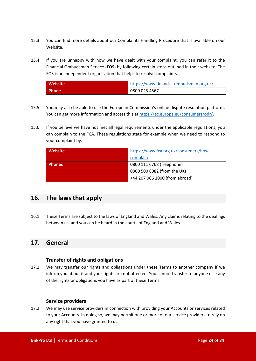- 15.3 You can find more details about our Complaints Handling Procedure that is available on our Website.
- 15.4 If you are unhappy with how we have dealt with your complaint, you can refer it to the Financial Ombudsman Service (**FOS**) by following certain steps outlined in their website. The FOS is an independent organisation that helps to resolve complaints.

| Website      | https://www.financial-ombudsman.org.uk/ |
|--------------|-----------------------------------------|
| <b>Phone</b> | 0800 023 4567                           |

- 15.5 You may also be able to use the European Commission's online dispute resolution platform. You can get more information and access this at <https://ec.europa.eu/consumers/odr/>.
- 15.6 If you believe we have not met all legal requirements under the applicable regulations, you can complain to the FCA. These regulations state for example when we need to respond to your complaint by.

| <b>Website</b> | https://www.fca.org.uk/consumers/how- |
|----------------|---------------------------------------|
|                | complain                              |
| <b>Phones</b>  | 0800 111 6768 (freephone)             |
|                | 0300 500 8082 (from the UK)           |
|                | +44 207 066 1000 (from abroad)        |

## <span id="page-23-0"></span>**16. The laws that apply**

16.1 These Terms are subject to the laws of England and Wales. Any claims relating to the dealings between us, and you can be heard in the courts of England and Wales.

## <span id="page-23-1"></span>**17. General**

#### **Transfer of rights and obligations**

17.1 We may transfer our rights and obligations under these Terms to another company if we inform you about it and your rights are not affected. You cannot transfer to anyone else any of the rights or obligations you have as part of these Terms.

#### **Service providers**

17.2 We may use service providers in connection with providing your Accounts or services related to your Accounts. In doing so, we may permit one or more of our service providers to rely on any right that you have granted to us.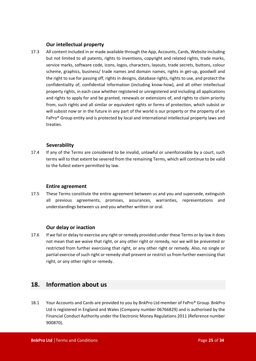#### **Our intellectual property**

17.3 All content included in or made available through the App, Accounts, Cards, Website including but not limited to all patents, rights to inventions, copyright and related rights, trade marks, service marks, software code, icons, logos, characters, layouts, trade secrets, buttons, colour scheme, graphics, business/ trade names and domain names, rights in get-up, goodwill and the right to sue for passing off, rights in designs, database rights, rights to use, and protect the confidentiality of, confidential information (including know-how), and all other intellectual property rights, in each case whether registered or unregistered and including all applications and rights to apply for and be granted, renewals or extensions of, and rights to claim priority from, such rights and all similar or equivalent rights or forms of protection, which subsist or will subsist now or in the future in any part of the world is our property or the property of an FxPro® Group entity and is protected by local and international intellectual property laws and treaties.

#### **Severability**

17.4 If any of the Terms are considered to be invalid, unlawful or unenforceable by a court, such terms will to that extent be severed from the remaining Terms, which will continue to be valid to the fullest extern permitted by law.

#### **Entire agreement**

17.5 These Terms constitute the entire agreement between us and you and supersede, extinguish all previous agreements, promises, assurances, warranties, representations and understandings between us and you whether written or oral.

#### **Our delay or inaction**

17.6 If we fail or delay to exercise any right or remedy provided under these Terms or by law it does not mean that we waive that right, or any other right or remedy, nor we will be prevented or restricted from further exercising that right, or any other right or remedy. Also, no single or partial exercise of such right or remedy shall prevent or restrict us from further exercising that right, or any other right or remedy.

## <span id="page-24-0"></span>**18. Information about us**

18.1 Your Accounts and Cards are provided to you by BnkPro Ltd member of FxPro® Group. BnkPro Ltd is registered in England and Wales (Company number 06766829) and is authorised by the Financial Conduct Authority under the Electronic Money Regulations 2011 (Reference number 900870).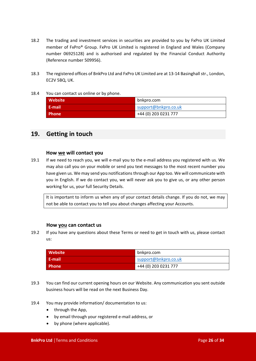- 18.2 The trading and investment services in securities are provided to you by FxPro UK Limited member of FxPro® Group. FxPro UK Limited is registered in England and Wales (Company number 06925128) and is authorised and regulated by the Financial Conduct Authority (Reference number 509956).
- 18.3 The registered offices of BnkPro Ltd and FxPro UK Limited are at 13-14 Basinghall str., London, EC2V 5BQ, UK.

#### 18.4 You can contact us online or by phone.

| <b>Website</b> | bnkpro.com           |
|----------------|----------------------|
| <b>E-mail</b>  | support@bnkpro.co.uk |
| <b>Phone</b>   | +44 (0) 203 0231 777 |

## <span id="page-25-0"></span>**19. Getting in touch**

#### **How we will contact you**

19.1 If we need to reach you, we will e-mail you to the e-mail address you registered with us. We may also call you on your mobile or send you text messages to the most recent number you have given us. We may send you notifications through our App too. We will communicate with you in English. If we do contact you, we will never ask you to give us, or any other person working for us, your full Security Details.

It is important to inform us when any of your contact details change. If you do not, we may not be able to contact you to tell you about changes affecting your Accounts.

#### **How you can contact us**

19.2 If you have any questions about these Terms or need to get in touch with us, please contact us:

| <b>Website</b> | bnkpro.com           |
|----------------|----------------------|
| - E-mail       | support@bnkpro.co.uk |
| <b>Phone</b>   | +44 (0) 203 0231 777 |

- 19.3 You can find our current opening hours on our Website. Any communication you sent outside business hours will be read on the next Business Day.
- 19.4 You may provide information/ documentation to us:
	- through the App,
	- by email through your registered e-mail address, or
	- by phone (where applicable).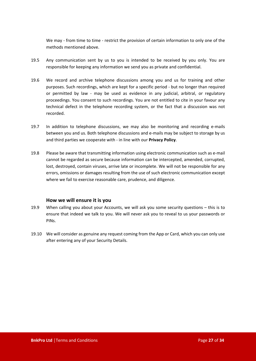We may - from time to time - restrict the provision of certain information to only one of the methods mentioned above.

- 19.5 Any communication sent by us to you is intended to be received by you only. You are responsible for keeping any information we send you as private and confidential.
- 19.6 We record and archive telephone discussions among you and us for training and other purposes. Such recordings, which are kept for a specific period - but no longer than required or permitted by law - may be used as evidence in any judicial, arbitral, or regulatory proceedings. You consent to such recordings. You are not entitled to cite in your favour any technical defect in the telephone recording system, or the fact that a discussion was not recorded.
- 19.7 In addition to telephone discussions, we may also be monitoring and recording e-mails between you and us. Both telephone discussions and e-mails may be subject to storage by us and third parties we cooperate with - in line with our **Privacy Policy**.
- 19.8 Please be aware that transmitting information using electronic communication such as e-mail cannot be regarded as secure because information can be intercepted, amended, corrupted, lost, destroyed, contain viruses, arrive late or incomplete. We will not be responsible for any errors, omissions or damages resulting from the use of such electronic communication except where we fail to exercise reasonable care, prudence, and diligence.

#### **How we will ensure it is you**

- 19.9 When calling you about your Accounts, we will ask you some security questions this is to ensure that indeed we talk to you. We will never ask you to reveal to us your passwords or PINs.
- 19.10 We will consider as genuine any request coming from the App or Card, which you can only use after entering any of your Security Details.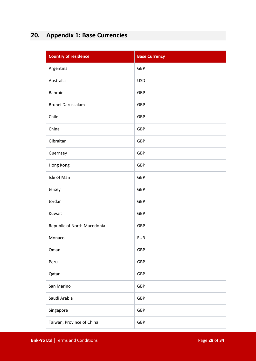## <span id="page-27-0"></span>**20. Appendix 1: Base Currencies**

| <b>Country of residence</b> | <b>Base Currency</b> |
|-----------------------------|----------------------|
| Argentina                   | GBP                  |
| Australia                   | <b>USD</b>           |
| <b>Bahrain</b>              | <b>GBP</b>           |
| Brunei Darussalam           | GBP                  |
| Chile                       | GBP                  |
| China                       | <b>GBP</b>           |
| Gibraltar                   | <b>GBP</b>           |
| Guernsey                    | <b>GBP</b>           |
| Hong Kong                   | GBP                  |
| Isle of Man                 | GBP                  |
| Jersey                      | GBP                  |
| Jordan                      | <b>GBP</b>           |
| Kuwait                      | <b>GBP</b>           |
| Republic of North Macedonia | GBP                  |
| Monaco                      | <b>EUR</b>           |
| Oman                        | GBP                  |
| Peru                        | GBP                  |
| Qatar                       | GBP                  |
| San Marino                  | <b>GBP</b>           |
| Saudi Arabia                | <b>GBP</b>           |
| Singapore                   | GBP                  |
| Taiwan, Province of China   | GBP                  |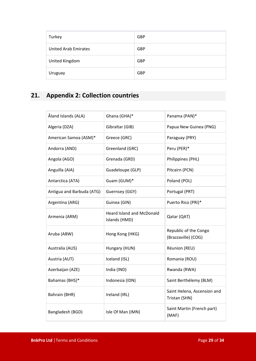| Turkey                      | <b>GBP</b> |
|-----------------------------|------------|
| <b>United Arab Emirates</b> | <b>GBP</b> |
| United Kingdom              | <b>GBP</b> |
| Uruguay                     | <b>GBP</b> |

## <span id="page-28-0"></span>**21. Appendix 2: Collection countries**

| Åland Islands (ALA)       | Ghana (GHA)*                                      | Panama (PAN)*                                |
|---------------------------|---------------------------------------------------|----------------------------------------------|
| Algeria (DZA)             | Gibraltar (GIB)                                   | Papua New Guinea (PNG)                       |
| American Samoa (ASM)*     | Greece (GRC)                                      | Paraguay (PRY)                               |
| Andorra (AND)             | Greenland (GRC)                                   | Peru (PER)*                                  |
| Angola (AGO)              | Grenada (GRD)                                     | Philippines (PHL)                            |
| Anguilla (AIA)            | Guadeloupe (GLP)                                  | Pitcairn (PCN)                               |
| Antarctica (ATA)          | Guam (GUM)*                                       | Poland (POL)                                 |
| Antigua and Barbuda (ATG) | Guernsey (GGY)                                    | Portugal (PRT)                               |
| Argentina (ARG)           | Guinea (GIN)                                      | Puerto Rico (PRI)*                           |
| Armenia (ARM)             | <b>Heard Island and McDonald</b><br>Islands (HMD) | Qatar (QAT)                                  |
| Aruba (ABW)               | Hong Kong (HKG)                                   | Republic of the Congo<br>(Brazzaville) (COG) |
| Australia (AUS)           | Hungary (HUN)                                     | Réunion (REU)                                |
| Austria (AUT)             | Iceland (ISL)                                     | Romania (ROU)                                |
| Azerbaijan (AZE)          | India (IND)                                       | Rwanda (RWA)                                 |
| Bahamas (BHS)*            | Indonesia (IDN)                                   | Saint Berthélemy (BLM)                       |
| Bahrain (BHR)             | Ireland (IRL)                                     | Saint Helena, Ascension and<br>Tristan (SHN) |
| Bangladesh (BGD)          | Isle Of Man (IMN)                                 | Saint Martin (French part)<br>(MAF)          |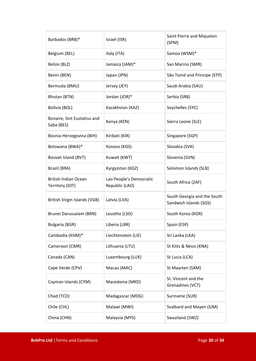| Barbados (BRB)*                                | Israel (ISR)                              | Saint Pierre and Miquelon<br>(SPM)                    |
|------------------------------------------------|-------------------------------------------|-------------------------------------------------------|
| Belgium (BEL)                                  | Italy (ITA)                               | Samoa (WSM)*                                          |
| Belize (BLZ)                                   | Jamaica (JAM)*                            | San Marino (SMR)                                      |
| Benin (BEN)                                    | Japan (JPN)                               | São Tomé and Principe (STP)                           |
| Bermuda (BMU)                                  | Jersey (JEY)                              | Saudi Arabia (SAU)                                    |
| Bhutan (BTN)                                   | Jordan (JOR)*                             | Serbia (SRB)                                          |
| Bolivia (BOL)                                  | Kazakhstan (KAZ)                          | Seychelles (SYC)                                      |
| Bonaire, Sint Eustatius and<br>Saba (BES)      | Kenya (KEN)                               | Sierra Leone (SLE)                                    |
| Bosnia-Herzegovina (BIH)                       | Kiribati (KIR)                            | Singapore (SGP)                                       |
| Botswana (BWA)*                                | Kosovo (KOS)                              | Slovakia (SVK)                                        |
| Bouvet Island (BVT)                            | Kuwait (KWT)                              | Slovenia (SVN)                                        |
| Brazil (BRA)                                   | Kyrgyzstan (KGZ)                          | Solomon Islands (SLB)                                 |
| <b>British Indian Ocean</b><br>Territory (IOT) | Lao People's Democratic<br>Republic (LAO) | South Africa (ZAF)                                    |
| British Virgin Islands (VGB)                   | Latvia (LVA)                              | South Georgia and the South<br>Sandwich Islands (SGS) |
| Brunei Darussalam (BRN)                        | Lesotho (LSO)                             | South Korea (KOR)                                     |
| <b>Bulgaria (BGR)</b>                          | Liberia (LBR)                             | Spain (ESP)                                           |
| Cambodia (KHM)*                                | Liechtenstein (LIE)                       | Sri Lanka (LKA)                                       |
| Cameroon (CMR)                                 | Lithuania (LTU)                           | St Kitts & Nevis (KNA)                                |
| Canada (CAN)                                   | Luxembourg (LUX)                          | St Lucia (LCA)                                        |
| Cape Verde (CPV)                               | Macau (MAC)                               | St Maarten (SXM)                                      |
| Cayman Islands (CYM)                           | Macedonia (MKD)                           | St. Vincent and the<br>Grenadines (VCT)               |
| Chad (TCD)                                     | Madagascar (MDG)                          | Suriname (SUR)                                        |
| Chile (CHL)                                    | Malawi (MWI)                              | Svalbard and Mayen (SJM)                              |
| China (CHN)                                    | Malaysia (MYS)                            | Swaziland (SWZ)                                       |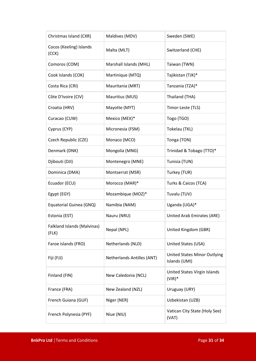| Christmas Island (CXR)                      | Maldives (MDV)             | Sweden (SWE)                                  |
|---------------------------------------------|----------------------------|-----------------------------------------------|
| Cocos (Keeling) Islands<br>(CCK)            | Malta (MLT)                | Switzerland (CHE)                             |
| Comoros (COM)                               | Marshall Islands (MHL)     | Taiwan (TWN)                                  |
| Cook Islands (COK)                          | Martinique (MTQ)           | Tajikistan (TJK)*                             |
| Costa Rica (CRI)                            | Mauritania (MRT)           | Tanzania (TZA)*                               |
| Côte D'Ivoire (CIV)                         | Mauritius (MUS)            | Thailand (THA)                                |
| Croatia (HRV)                               | Mayotte (MYT)              | Timor-Leste (TLS)                             |
| Curacao (CUW)                               | Mexico (MEX)*              | Togo (TGO)                                    |
| Cyprus (CYP)                                | Micronesia (FSM)           | Tokelau (TKL)                                 |
| Czech Republic (CZE)                        | Monaco (MCO)               | Tonga (TON)                                   |
| Denmark (DNK)                               | Mongolia (MNG)             | Trinidad & Tobago (TTO)*                      |
| Djibouti (DJI)                              | Montenegro (MNE)           | Tunisia (TUN)                                 |
| Dominica (DMA)                              | Montserrat (MSR)           | Turkey (TUR)                                  |
| Ecuador (ECU)                               | Morocco (MAR)*             | Turks & Caicos (TCA)                          |
| Egypt (EGY)                                 | Mozambique (MOZ)*          | Tuvalu (TUV)                                  |
| Equatorial Guinea (GNQ)                     | Namibia (NAM)              | Uganda (UGA)*                                 |
| Estonia (EST)                               | Nauru (NRU)                | United Arab Emirates (ARE)                    |
| <b>Falkland Islands (Malvinas)</b><br>(FLK) | Nepal (NPL)                | United Kingdom (GBR)                          |
| Faroe islands (FRO)                         | Netherlands (NLD)          | United States (USA)                           |
| Fiji (FJJ)                                  | Netherlands Antilles (ANT) | United States Minor Outlying<br>Islands (UMI) |
| Finland (FIN)                               | New Caledonia (NCL)        | United States Virgin Islands<br>$(VIR)*$      |
| France (FRA)                                | New Zealand (NZL)          | Uruguay (URY)                                 |
| French Guiana (GUF)                         | Niger (NER)                | Uzbekistan (UZB)                              |
| French Polynesia (PYF)                      | Niue (NIU)                 | Vatican City State (Holy See)<br>(VAT)        |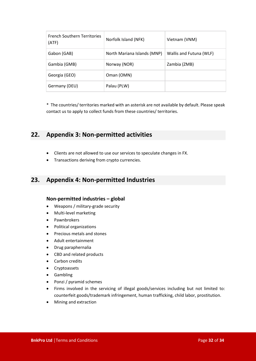| <b>French Southern Territories</b><br>(ATF) | Norfolk Island (NFK)        | Vietnam (VNM)           |
|---------------------------------------------|-----------------------------|-------------------------|
| Gabon (GAB)                                 | North Mariana Islands (MNP) | Wallis and Futuna (WLF) |
| Gambia (GMB)                                | Norway (NOR)                | Zambia (ZMB)            |
| Georgia (GEO)                               | Oman (OMN)                  |                         |
| Germany (DEU)                               | Palau (PLW)                 |                         |

\* The countries/ territories marked with an asterisk are not available by default. Please speak contact us to apply to collect funds from these countries/ territories.

## <span id="page-31-0"></span>**22. Appendix 3: Non-permitted activities**

- Clients are not allowed to use our services to speculate changes in FX.
- Transactions deriving from crypto currencies.

## <span id="page-31-1"></span>**23. Appendix 4: Non-permitted Industries**

#### **Non-permitted industries – global**

- Weapons / military-grade security
- Multi-level marketing
- Pawnbrokers
- Political organizations
- Precious metals and stones
- Adult entertainment
- Drug paraphernalia
- CBD and related products
- Carbon credits
- Cryptoassets
- Gambling
- Ponzi / pyramid schemes
- Firms involved in the servicing of illegal goods/services including but not limited to: counterfeit goods/trademark infringement, human trafficking, child labor, prostitution.
- Mining and extraction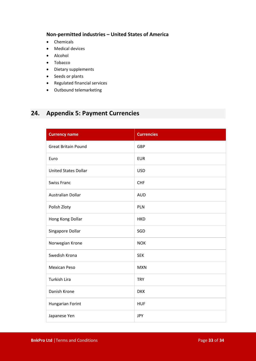#### **Non-permitted industries – United States of America**

- Chemicals
- Medical devices
- Alcohol
- Tobacco
- Dietary supplements
- Seeds or plants
- Regulated financial services
- Outbound telemarketing

## <span id="page-32-0"></span>**24. Appendix 5: Payment Currencies**

| <b>Currency name</b>        | <b>Currencies</b> |
|-----------------------------|-------------------|
| <b>Great Britain Pound</b>  | GBP               |
| Euro                        | <b>EUR</b>        |
| <b>United States Dollar</b> | <b>USD</b>        |
| <b>Swiss Franc</b>          | <b>CHF</b>        |
| <b>Australian Dollar</b>    | <b>AUD</b>        |
| Polish Zloty                | PLN               |
| Hong Kong Dollar            | <b>HKD</b>        |
| Singapore Dollar            | SGD               |
| Norwegian Krone             | <b>NOK</b>        |
| Swedish Krona               | <b>SEK</b>        |
| <b>Mexican Peso</b>         | <b>MXN</b>        |
| Turkish Lira                | <b>TRY</b>        |
| Danish Krone                | <b>DKK</b>        |
| <b>Hungarian Forint</b>     | <b>HUF</b>        |
| Japanese Yen                | <b>JPY</b>        |